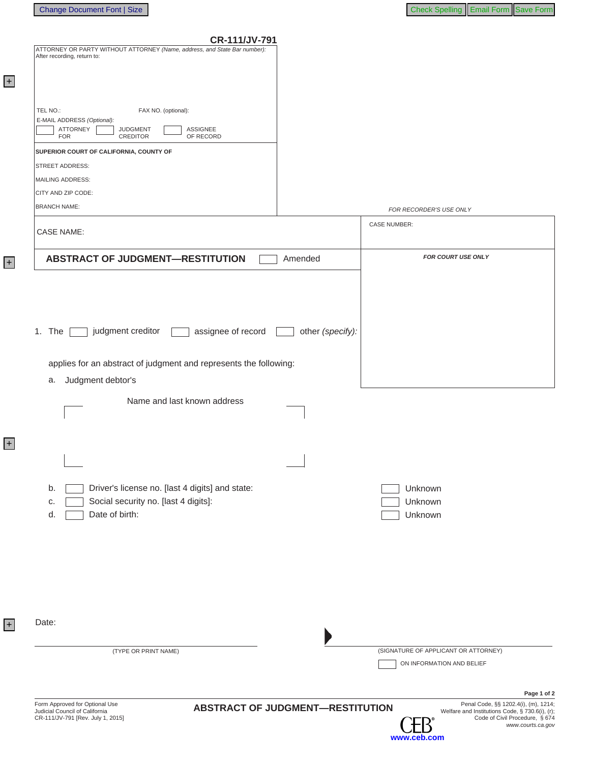+

+

+

| <b>CR-111/JV-791</b> |  |  |
|----------------------|--|--|
|----------------------|--|--|

| CR-111/JV-791<br>ATTORNEY OR PARTY WITHOUT ATTORNEY (Name, address, and State Bar number): |                                      |
|--------------------------------------------------------------------------------------------|--------------------------------------|
| After recording, return to:                                                                |                                      |
|                                                                                            |                                      |
|                                                                                            |                                      |
| TEL NO.:<br>FAX NO. (optional):                                                            |                                      |
| E-MAIL ADDRESS (Optional):                                                                 |                                      |
| ATTORNEY<br>ASSIGNEE<br><b>JUDGMENT</b><br><b>FOR</b><br><b>CREDITOR</b><br>OF RECORD      |                                      |
| SUPERIOR COURT OF CALIFORNIA, COUNTY OF                                                    |                                      |
| STREET ADDRESS:                                                                            |                                      |
| MAILING ADDRESS:                                                                           |                                      |
| CITY AND ZIP CODE:                                                                         |                                      |
| <b>BRANCH NAME:</b>                                                                        | FOR RECORDER'S USE ONLY              |
| <b>CASE NAME:</b>                                                                          | <b>CASE NUMBER:</b>                  |
|                                                                                            |                                      |
| <b>ABSTRACT OF JUDGMENT-RESTITUTION</b><br>Amended                                         | FOR COURT USE ONLY                   |
|                                                                                            |                                      |
|                                                                                            |                                      |
|                                                                                            |                                      |
|                                                                                            |                                      |
| 1. The<br>judgment creditor<br>assignee of record                                          | other (specify):                     |
|                                                                                            |                                      |
| applies for an abstract of judgment and represents the following:                          |                                      |
| Judgment debtor's<br>а.                                                                    |                                      |
| Name and last known address                                                                |                                      |
|                                                                                            |                                      |
|                                                                                            |                                      |
|                                                                                            |                                      |
|                                                                                            |                                      |
|                                                                                            |                                      |
| Driver's license no. [last 4 digits] and state:<br>b.                                      | Unknown                              |
| Social security no. [last 4 digits]:<br>c.                                                 | Unknown                              |
| Date of birth:<br>d.                                                                       | Unknown                              |
|                                                                                            |                                      |
|                                                                                            |                                      |
|                                                                                            |                                      |
|                                                                                            |                                      |
|                                                                                            |                                      |
|                                                                                            |                                      |
| Date:                                                                                      |                                      |
|                                                                                            |                                      |
| (TYPE OR PRINT NAME)                                                                       | (SIGNATURE OF APPLICANT OR ATTORNEY) |
|                                                                                            | ON INFORMATION AND BELIEF            |
|                                                                                            | Page 1 of 2                          |
|                                                                                            |                                      |